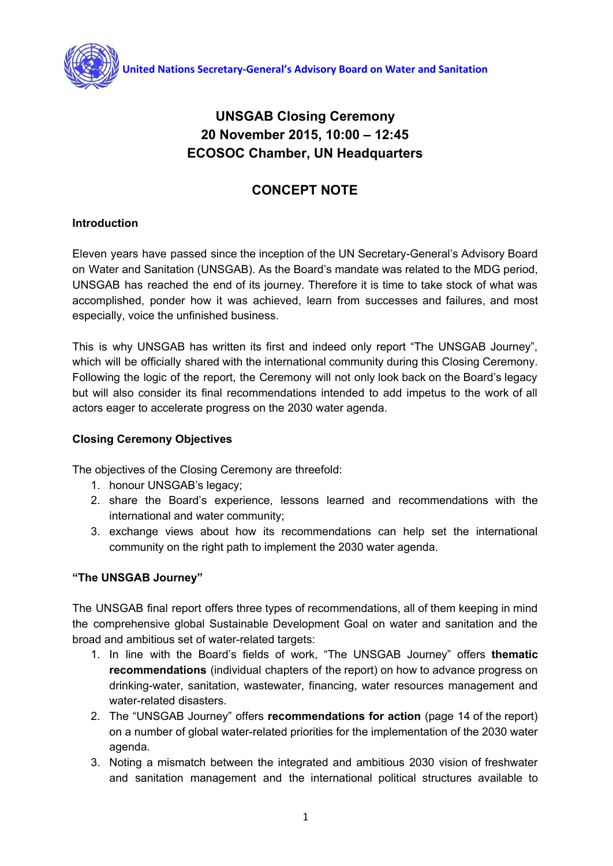

# **UNSGAB Closing Ceremony 20 November 2015, 10:00 – 12:45 ECOSOC Chamber, UN Headquarters**

# **CONCEPT NOTE**

## **Introduction**

Eleven years have passed since the inception of the UN Secretary-General's Advisory Board on Water and Sanitation (UNSGAB). As the Board's mandate was related to the MDG period, UNSGAB has reached the end of its journey. Therefore it is time to take stock of what was accomplished, ponder how it was achieved, learn from successes and failures, and most especially, voice the unfinished business.

This is why UNSGAB has written its first and indeed only report "The UNSGAB Journey", which will be officially shared with the international community during this Closing Ceremony. Following the logic of the report, the Ceremony will not only look back on the Board's legacy but will also consider its final recommendations intended to add impetus to the work of all actors eager to accelerate progress on the 2030 water agenda.

# **Closing Ceremony Objectives**

The objectives of the Closing Ceremony are threefold:

- 1. honour UNSGAB's legacy;
- 2. share the Board's experience, lessons learned and recommendations with the international and water community;
- 3. exchange views about how its recommendations can help set the international community on the right path to implement the 2030 water agenda.

#### **"The UNSGAB Journey"**

The UNSGAB final report offers three types of recommendations, all of them keeping in mind the comprehensive global Sustainable Development Goal on water and sanitation and the broad and ambitious set of water-related targets:

- 1. In line with the Board's fields of work, "The UNSGAB Journey" offers **thematic recommendations** (individual chapters of the report) on how to advance progress on drinking-water, sanitation, wastewater, financing, water resources management and water-related disasters.
- 2. The "UNSGAB Journey" offers **recommendations for action** (page 14 of the report) on a number of global water-related priorities for the implementation of the 2030 water agenda.
- 3. Noting a mismatch between the integrated and ambitious 2030 vision of freshwater and sanitation management and the international political structures available to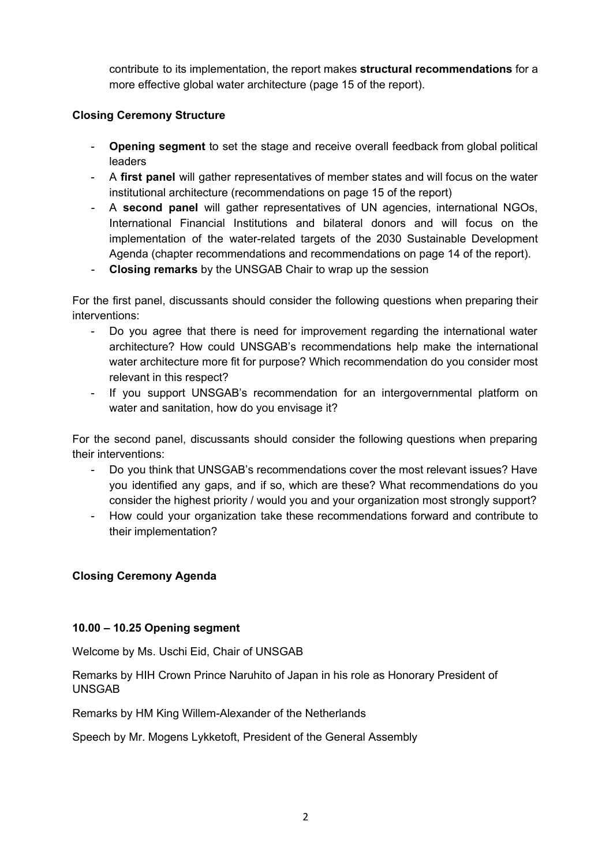contribute to its implementation, the report makes **structural recommendations** for a more effective global water architecture (page 15 of the report).

## **Closing Ceremony Structure**

- **Opening segment** to set the stage and receive overall feedback from global political leaders
- A **first panel** will gather representatives of member states and will focus on the water institutional architecture (recommendations on page 15 of the report)
- A **second panel** will gather representatives of UN agencies, international NGOs, International Financial Institutions and bilateral donors and will focus on the implementation of the water-related targets of the 2030 Sustainable Development Agenda (chapter recommendations and recommendations on page 14 of the report).
- **Closing remarks**by the UNSGAB Chair to wrap up the session

For the first panel, discussants should consider the following questions when preparing their interventions:

- Do you agree that there is need for improvement regarding the international water architecture? How could UNSGAB's recommendations help make the international water architecture more fit for purpose? Which recommendation do you consider most relevant in this respect?
- If you support UNSGAB's recommendation for an intergovernmental platform on water and sanitation, how do you envisage it?

For the second panel, discussants should consider the following questions when preparing their interventions:

- Do you think that UNSGAB's recommendations cover the most relevant issues? Have you identified any gaps, and if so, which are these? What recommendations do you consider the highest priority / would you and your organization most strongly support?
- How could your organization take these recommendations forward and contribute to their implementation?

# **Closing Ceremony Agenda**

#### **10.00 – 10.25 Opening segment**

Welcome by Ms. Uschi Eid, Chair of UNSGAB

Remarks by HIH Crown Prince Naruhito of Japan in his role as Honorary President of UNSGAB

Remarks by HM King Willem-Alexander of the Netherlands

Speech by Mr. Mogens Lykketoft, President of the General Assembly